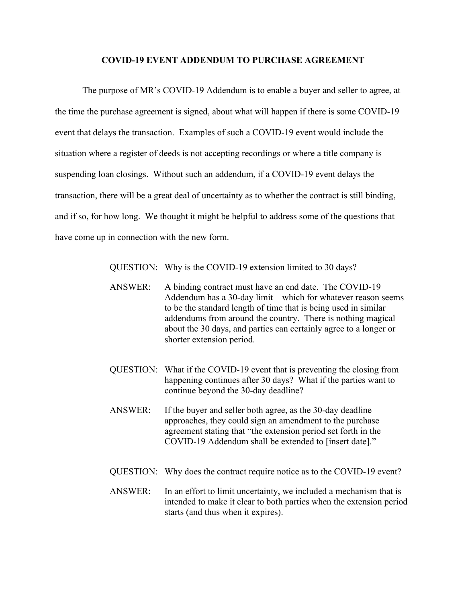## **COVID-19 EVENT ADDENDUM TO PURCHASE AGREEMENT**

The purpose of MR's COVID-19 Addendum is to enable a buyer and seller to agree, at the time the purchase agreement is signed, about what will happen if there is some COVID-19 event that delays the transaction. Examples of such a COVID-19 event would include the situation where a register of deeds is not accepting recordings or where a title company is suspending loan closings. Without such an addendum, if a COVID-19 event delays the transaction, there will be a great deal of uncertainty as to whether the contract is still binding, and if so, for how long. We thought it might be helpful to address some of the questions that have come up in connection with the new form.

QUESTION: Why is the COVID-19 extension limited to 30 days?

- ANSWER: A binding contract must have an end date. The COVID-19 Addendum has a 30-day limit – which for whatever reason seems to be the standard length of time that is being used in similar addendums from around the country. There is nothing magical about the 30 days, and parties can certainly agree to a longer or shorter extension period.
- QUESTION: What if the COVID-19 event that is preventing the closing from happening continues after 30 days? What if the parties want to continue beyond the 30-day deadline?
- ANSWER: If the buyer and seller both agree, as the 30-day deadline approaches, they could sign an amendment to the purchase agreement stating that "the extension period set forth in the COVID-19 Addendum shall be extended to [insert date]."
- QUESTION: Why does the contract require notice as to the COVID-19 event?
- ANSWER: In an effort to limit uncertainty, we included a mechanism that is intended to make it clear to both parties when the extension period starts (and thus when it expires).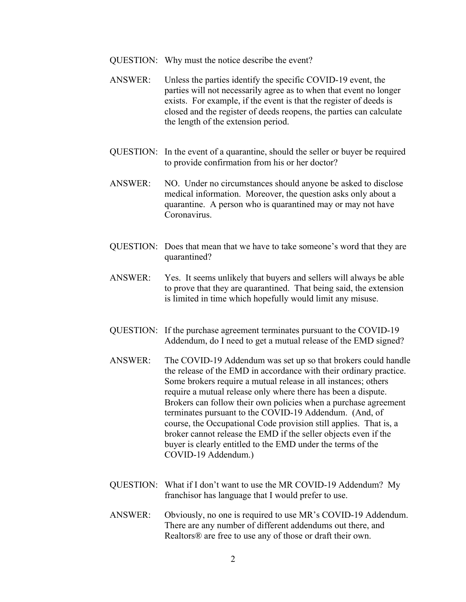- QUESTION: Why must the notice describe the event?
- ANSWER: Unless the parties identify the specific COVID-19 event, the parties will not necessarily agree as to when that event no longer exists. For example, if the event is that the register of deeds is closed and the register of deeds reopens, the parties can calculate the length of the extension period.
- QUESTION: In the event of a quarantine, should the seller or buyer be required to provide confirmation from his or her doctor?
- ANSWER: NO. Under no circumstances should anyone be asked to disclose medical information. Moreover, the question asks only about a quarantine. A person who is quarantined may or may not have Coronavirus.
- QUESTION: Does that mean that we have to take someone's word that they are quarantined?
- ANSWER: Yes. It seems unlikely that buyers and sellers will always be able to prove that they are quarantined. That being said, the extension is limited in time which hopefully would limit any misuse.
- QUESTION: If the purchase agreement terminates pursuant to the COVID-19 Addendum, do I need to get a mutual release of the EMD signed?
- ANSWER: The COVID-19 Addendum was set up so that brokers could handle the release of the EMD in accordance with their ordinary practice. Some brokers require a mutual release in all instances; others require a mutual release only where there has been a dispute. Brokers can follow their own policies when a purchase agreement terminates pursuant to the COVID-19 Addendum. (And, of course, the Occupational Code provision still applies. That is, a broker cannot release the EMD if the seller objects even if the buyer is clearly entitled to the EMD under the terms of the COVID-19 Addendum.)
- QUESTION: What if I don't want to use the MR COVID-19 Addendum? My franchisor has language that I would prefer to use.
- ANSWER: Obviously, no one is required to use MR's COVID-19 Addendum. There are any number of different addendums out there, and Realtors® are free to use any of those or draft their own.